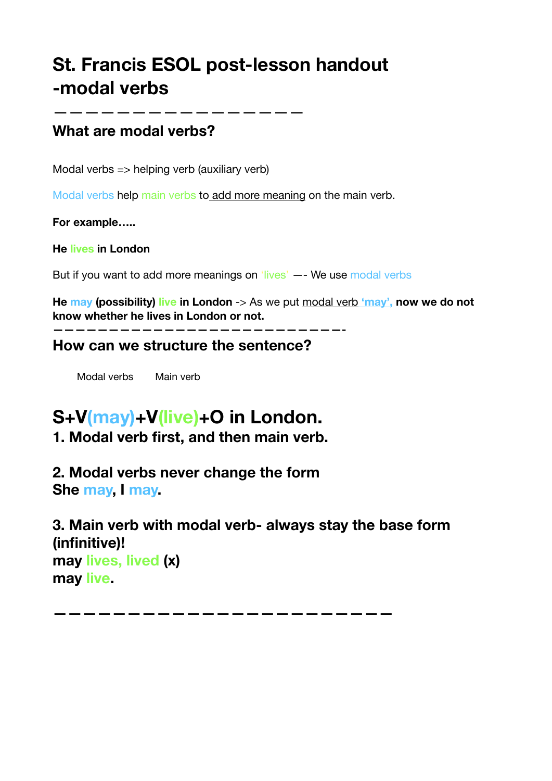# **St. Francis ESOL post-lesson handout -modal verbs**

### **What are modal verbs?**

————————————————

Modal verbs => helping verb (auxiliary verb)

Modal verbs help main verbs to add more meaning on the main verb.

**For example…..**

**He lives in London**

But if you want to add more meanings on 'lives' -- We use modal verbs

**He may (possibility) live in London** -> As we put modal verb *'may'*, now we do not **know whether he lives in London or not.**

**——————————————————————————-**

**How can we structure the sentence?**

Modal verbs Main verb

# **S+V(may)+V(live)+O in London.**

**1. Modal verb first, and then main verb.**

**2. Modal verbs never change the form She may, I may.**

**3. Main verb with modal verb- always stay the base form (infinitive)! may lives, lived (x) may live.**

**———————————————————————**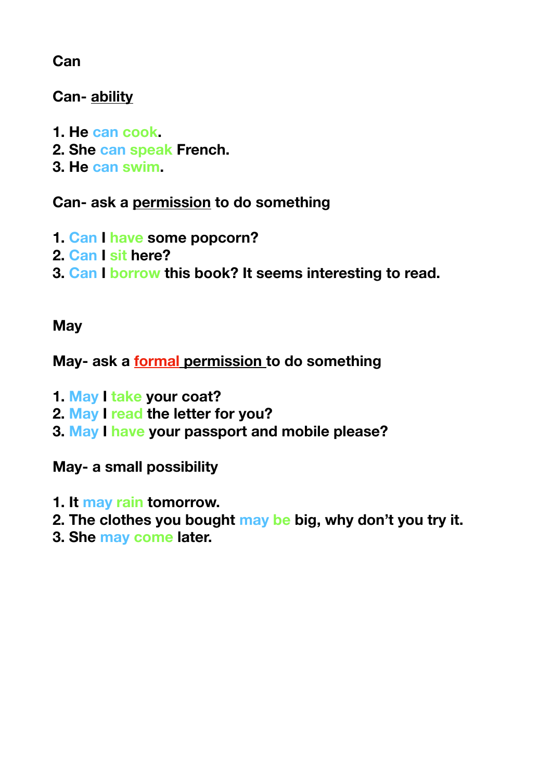**Can**

**Can- ability**

- **1. He can cook.**
- **2. She can speak French.**
- **3. He can swim.**

**Can- ask a permission to do something** 

- **1. Can I have some popcorn?**
- **2. Can I sit here?**
- **3. Can I borrow this book? It seems interesting to read.**

## **May**

**May- ask a formal permission to do something**

- **1. May I take your coat?**
- **2. May I read the letter for you?**
- **3. May I have your passport and mobile please?**

**May- a small possibility** 

- **1. It may rain tomorrow.**
- **2. The clothes you bought may be big, why don't you try it.**
- **3. She may come later.**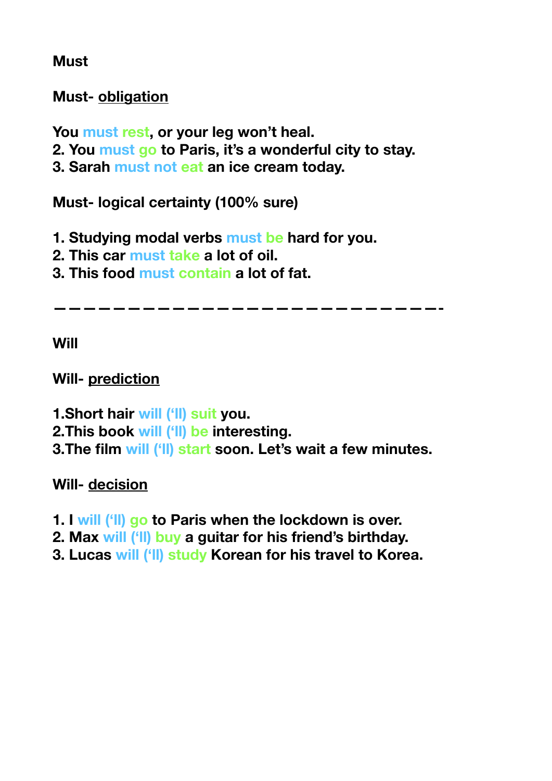**Must** 

**Must- obligation** 

**You must rest, or your leg won't heal.**

- **2. You must go to Paris, it's a wonderful city to stay.**
- **3. Sarah must not eat an ice cream today.**

**Must- logical certainty (100% sure)**

**1. Studying modal verbs must be hard for you.**

- **2. This car must take a lot of oil.**
- **3. This food must contain a lot of fat.**

**——————————————————————————-** 

**Will**

**Will- prediction** 

**1.Short hair will ('ll) suit you. 2.This book will ('ll) be interesting. 3.The film will ('ll) start soon. Let's wait a few minutes.**

**Will- decision**

- **1. I will ('ll) go to Paris when the lockdown is over.**
- **2. Max will ('ll) buy a guitar for his friend's birthday.**
- **3. Lucas will ('ll) study Korean for his travel to Korea.**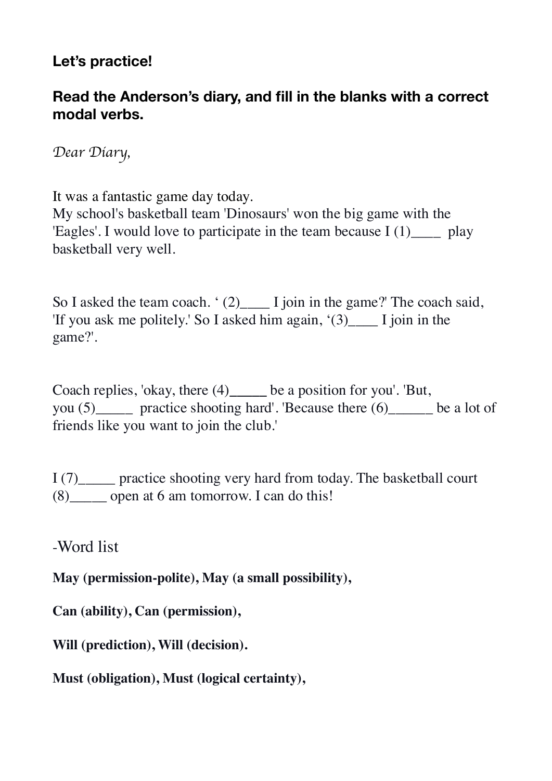## **Let's practice!**

### **Read the Anderson's diary, and fill in the blanks with a correct modal verbs.**

*Dear Diary,*

It was a fantastic game day today.

My school's basketball team 'Dinosaurs' won the big game with the 'Eagles'. I would love to participate in the team because  $I(1)$  play basketball very well.

So I asked the team coach. ' (2)  $\qquad$  I join in the game?' The coach said, 'If you ask me politely.' So I asked him again,  $(3)$  I join in the game?'.

Coach replies, 'okay, there (4)**\_\_\_\_\_** be a position for you'. 'But, you (5) practice shooting hard'. 'Because there (6) be a lot of friends like you want to join the club.'

I (7)\_\_\_\_\_ practice shooting very hard from today. The basketball court (8)\_\_\_\_\_ open at 6 am tomorrow. I can do this!

-Word list

**May (permission-polite), May (a small possibility),** 

**Can (ability), Can (permission),** 

**Will (prediction), Will (decision).**

**Must (obligation), Must (logical certainty),**